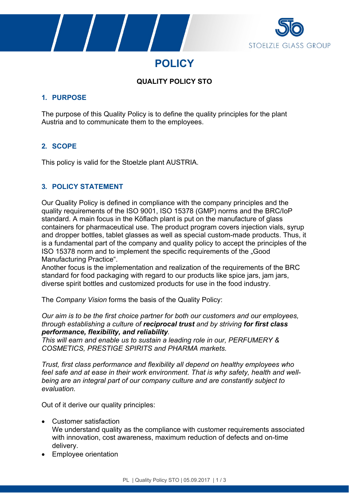



**POLICY**

# **QUALITY POLICY STO**

### **1. PURPOSE**

The purpose of this Quality Policy is to define the quality principles for the plant Austria and to communicate them to the employees.

# **2. SCOPE**

This policy is valid for the Stoelzle plant AUSTRIA.

### **3. POLICY STATEMENT**

Our Quality Policy is defined in compliance with the company principles and the quality requirements of the ISO 9001, ISO 15378 (GMP) norms and the BRC/IoP standard. A main focus in the Köflach plant is put on the manufacture of glass containers for pharmaceutical use. The product program covers injection vials, syrup and dropper bottles, tablet glasses as well as special custom-made products. Thus, it is a fundamental part of the company and quality policy to accept the principles of the ISO 15378 norm and to implement the specific requirements of the "Good Manufacturing Practice".

Another focus is the implementation and realization of the requirements of the BRC standard for food packaging with regard to our products like spice jars, jam jars, diverse spirit bottles and customized products for use in the food industry.

The *Company Vision* forms the basis of the Quality Policy:

*Our aim is to be the first choice partner for both our customers and our employees, through establishing a culture of reciprocal trust and by striving for first class performance, flexibility, and reliability.*

*This will earn and enable us to sustain a leading role in our, PERFUMERY & COSMETICS, PRESTIGE SPIRITS and PHARMA markets.*

*Trust, first class performance and flexibility all depend on healthy employees who feel safe and at ease in their work environment. That is why safety, health and wellbeing are an integral part of our company culture and are constantly subject to evaluation.*

Out of it derive our quality principles:

- Customer satisfaction We understand quality as the compliance with customer requirements associated with innovation, cost awareness, maximum reduction of defects and on-time delivery.
- Employee orientation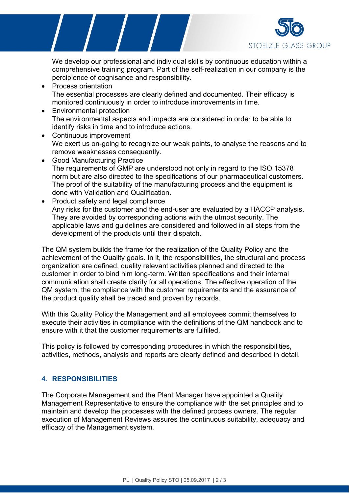

We develop our professional and individual skills by continuous education within a comprehensive training program. Part of the self-realization in our company is the percipience of cognisance and responsibility.

- Process orientation The essential processes are clearly defined and documented. Their efficacy is monitored continuously in order to introduce improvements in time.
- Environmental protection The environmental aspects and impacts are considered in order to be able to identify risks in time and to introduce actions.
- Continuous improvement We exert us on-going to recognize our weak points, to analyse the reasons and to remove weaknesses consequently.
- Good Manufacturing Practice The requirements of GMP are understood not only in regard to the ISO 15378 norm but are also directed to the specifications of our pharmaceutical customers. The proof of the suitability of the manufacturing process and the equipment is done with Validation and Qualification.
- Product safety and legal compliance Any risks for the customer and the end-user are evaluated by a HACCP analysis. They are avoided by corresponding actions with the utmost security. The applicable laws and guidelines are considered and followed in all steps from the development of the products until their dispatch.

The QM system builds the frame for the realization of the Quality Policy and the achievement of the Quality goals. In it, the responsibilities, the structural and process organization are defined, quality relevant activities planned and directed to the customer in order to bind him long-term. Written specifications and their internal communication shall create clarity for all operations. The effective operation of the QM system, the compliance with the customer requirements and the assurance of the product quality shall be traced and proven by records.

With this Quality Policy the Management and all employees commit themselves to execute their activities in compliance with the definitions of the QM handbook and to ensure with it that the customer requirements are fulfilled.

This policy is followed by corresponding procedures in which the responsibilities, activities, methods, analysis and reports are clearly defined and described in detail.

# **4. RESPONSIBILITIES**

The Corporate Management and the Plant Manager have appointed a Quality Management Representative to ensure the compliance with the set principles and to maintain and develop the processes with the defined process owners. The regular execution of Management Reviews assures the continuous suitability, adequacy and efficacy of the Management system.